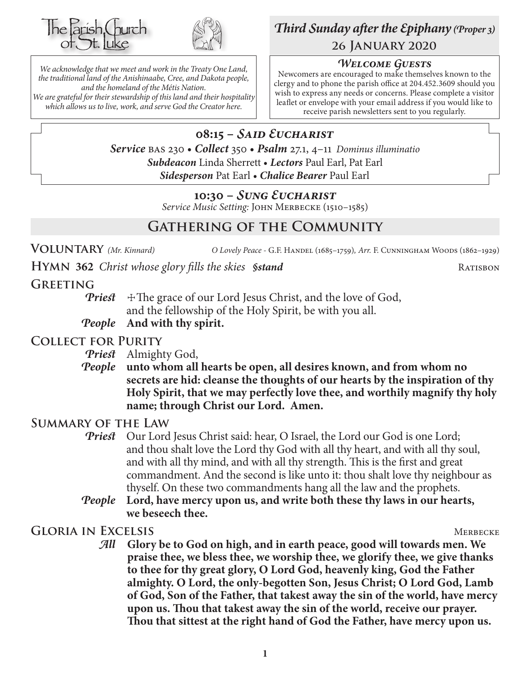



*We acknowledge that we meet and work in the Treaty One Land, the traditional land of the Anishinaabe, Cree, and Dakota people, and the homeland of the Métis Nation. We are grateful for their stewardship of this land and their hospitality which allows us to live, work, and serve God the Creator here.*

# *Third Sunday after the Epiphany (Proper 3)* **26 January 2020**

# *Welcome Guests*

Newcomers are encouraged to make themselves known to the clergy and to phone the parish office at 204.452.3609 should you wish to express any needs or concerns. Please complete a visitor leaflet or envelope with your email address if you would like to receive parish newsletters sent to you regularly.

**08:15 –** *Said Eucharist Service* bas 230 • *Collect* 350 • *Psalm* 27.1, 4–11 *Dominus illuminatio Subdeacon* Linda Sherrett • *Lectors* Paul Earl, Pat Earl *Sidesperson* Pat Earl • *Chalice Bearer* Paul Earl

# **10:30 –** *Sung Eucharist*

*Service Music Setting:* John Merbecke (1510–1585)

# **Gathering of the Community**

**Voluntary** *(Mr. Kinnard) O Lovely Peace -* G.F. Handel (1685–1759)*, Arr.* F. Cunningham Woods (1862–1929)

**HYMN** 362 *Christ whose glory fills the skies §stand* RATISBON

# **Greeting**

**Priest**  $\pm$ The grace of our Lord Jesus Christ, and the love of God, and the fellowship of the Holy Spirit, be with you all.

*People* **And with thy spirit.**

# **Collect for Purity**

- *Priest* Almighty God,
- *People* **unto whom all hearts be open, all desires known, and from whom no secrets are hid: cleanse the thoughts of our hearts by the inspiration of thy Holy Spirit, that we may perfectly love thee, and worthily magnify thy holy name; through Christ our Lord. Amen.**

# **Summary of the Law**

- **Priest** Our Lord Jesus Christ said: hear, O Israel, the Lord our God is one Lord; and thou shalt love the Lord thy God with all thy heart, and with all thy soul, and with all thy mind, and with all thy strength. This is the first and great commandment. And the second is like unto it: thou shalt love thy neighbour as thyself. On these two commandments hang all the law and the prophets.
- *People* **Lord, have mercy upon us, and write both these thy laws in our hearts, we beseech thee.**

# GLORIA IN EXCELSIS MERBECKE

*All* **Glory be to God on high, and in earth peace, good will towards men. We praise thee, we bless thee, we worship thee, we glorify thee, we give thanks to thee for thy great glory, O Lord God, heavenly king, God the Father almighty. O Lord, the only-begotten Son, Jesus Christ; O Lord God, Lamb of God, Son of the Father, that takest away the sin of the world, have mercy upon us. Thou that takest away the sin of the world, receive our prayer. Thou that sittest at the right hand of God the Father, have mercy upon us.**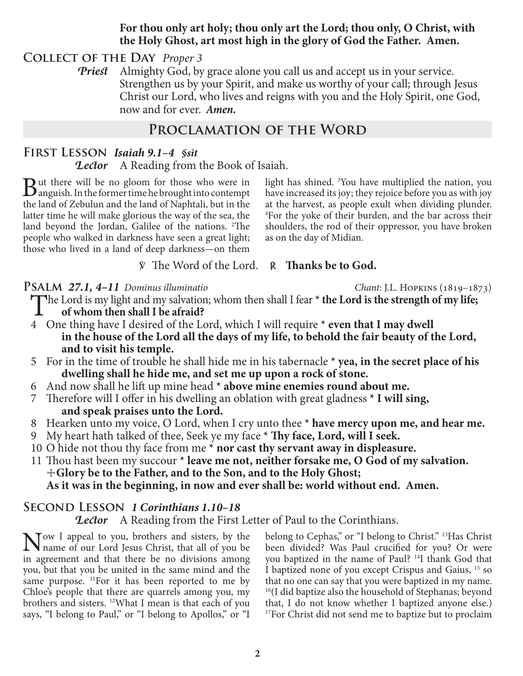## **For thou only art holy; thou only art the Lord; thou only, O Christ, with the Holy Ghost, art most high in the glory of God the Father. Amen.**

**Collect of the Day** *Proper 3*

*Priest* Almighty God, by grace alone you call us and accept us in your service. Strengthen us by your Spirit, and make us worthy of your call; through Jesus Christ our Lord, who lives and reigns with you and the Holy Spirit, one God, now and for ever.*Amen.*

# **Proclamation of the Word**

# **First Lesson** *Isaiah 9.1–4 §sit*

*Lector* A Reading from the Book of Isaiah.

 $B$ ut there will be no gloom for those who were in anguish. In the former time he brought into contempt the land of Zebulun and the land of Naphtali, but in the latter time he will make glorious the way of the sea, the land beyond the Jordan, Galilee of the nations. <sup>2</sup>The people who walked in darkness have seen a great light; those who lived in a land of deep darkness—on them

light has shined. 3 You have multiplied the nation, you have increased its joy; they rejoice before you as with joy at the harvest, as people exult when dividing plunder. 4 For the yoke of their burden, and the bar across their shoulders, the rod of their oppressor, you have broken as on the day of Midian.

℣ The Word of the Lord. ℟ **Thanks be to God.**

### **Psalm** *27.1, 4–11 Dominus illuminatio Chant:* J.L. Hopkins (1819–1873)

The Lord is my light and my salvation; whom then shall I fear \* **the Lord is the strength of my life;**<br>of whom then shall I be afraid?

- **of whom then shall I be afraid?**
- 4 One thing have I desired of the Lord, which I will require **\* even that I may dwell in the house of the Lord all the days of my life, to behold the fair beauty of the Lord, and to visit his temple.**
- 5 For in the time of trouble he shall hide me in his tabernacle **\* yea, in the secret place of his dwelling shall he hide me, and set me up upon a rock of stone.**
- 6 And now shall he lift up mine head **\* above mine enemies round about me.**
- 7 Therefore will I offer in his dwelling an oblation with great gladness **\* I will sing, and speak praises unto the Lord.**
- 8 Hearken unto my voice, O Lord, when I cry unto thee **\* have mercy upon me, and hear me.**
- 9 My heart hath talked of thee, Seek ye my face **\* Thy face, Lord, will I seek.**
- 10 O hide not thou thy face from me **\* nor cast thy servant away in displeasure.**
- 11 Thou hast been my succour **\* leave me not, neither forsake me, O God of my salvation.** ☩**Glory be to the Father, and to the Son, and to the Holy Ghost; As it was in the beginning, in now and ever shall be: world without end. Amen.**

# **Second Lesson** *1 Corinthians 1.10–18*

**Lector** A Reading from the First Letter of Paul to the Corinthians.

Now I appeal to you, brothers and sisters, by the name of our Lord Jesus Christ, that all of you be in agreement and that there be no divisions among you, but that you be united in the same mind and the same purpose. <sup>11</sup>For it has been reported to me by Chloe's people that there are quarrels among you, my brothers and sisters. 12What I mean is that each of you says, "I belong to Paul," or "I belong to Apollos," or "I

belong to Cephas," or "I belong to Christ." 13Has Christ been divided? Was Paul crucified for you? Or were you baptized in the name of Paul? 14I thank God that I baptized none of you except Crispus and Gaius, 15 so that no one can say that you were baptized in my name. <sup>16</sup>(I did baptize also the household of Stephanas; beyond that, I do not know whether I baptized anyone else.) <sup>17</sup>For Christ did not send me to baptize but to proclaim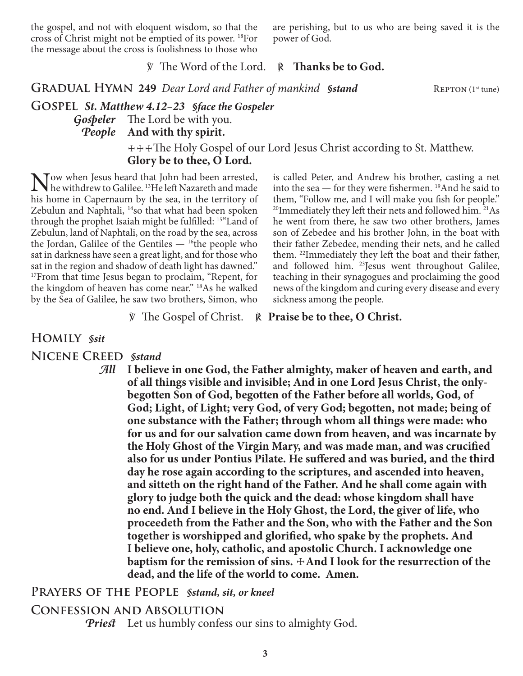the gospel, and not with eloquent wisdom, so that the cross of Christ might not be emptied of its power. 18For the message about the cross is foolishness to those who

are perishing, but to us who are being saved it is the power of God.

### ℣ The Word of the Lord. ℟ **Thanks be to God.**

**GRADUAL HYMN 249** *Dear Lord and Father of mankind Sstand REPTON (1st tune)* 

**Gospel** *St. Matthew 4.12–23 §face the Gospeler Gospeler* The Lord be with you. *People* **And with thy spirit.**

> ☩☩☩The Holy Gospel of our Lord Jesus Christ according to St. Matthew. **Glory be to thee, O Lord.**

Now when Jesus heard that John had been arrested,<br>he withdrew to Galilee. <sup>13</sup>He left Nazareth and made<br>his home in Canamaum by the see, in the territory of his home in Capernaum by the sea, in the territory of Zebulun and Naphtali, <sup>14</sup>so that what had been spoken through the prophet Isaiah might be fulfilled: 15"Land of Zebulun, land of Naphtali, on the road by the sea, across the Jordan, Galilee of the Gentiles  $-$  <sup>16</sup>the people who sat in darkness have seen a great light, and for those who sat in the region and shadow of death light has dawned." <sup>17</sup>From that time Jesus began to proclaim, "Repent, for the kingdom of heaven has come near." 18As he walked by the Sea of Galilee, he saw two brothers, Simon, who

is called Peter, and Andrew his brother, casting a net into the sea — for they were fishermen. 19And he said to them, "Follow me, and I will make you fish for people." <sup>20</sup>Immediately they left their nets and followed him. <sup>21</sup>As he went from there, he saw two other brothers, James son of Zebedee and his brother John, in the boat with their father Zebedee, mending their nets, and he called them. 22Immediately they left the boat and their father, and followed him. <sup>23</sup>Jesus went throughout Galilee, teaching in their synagogues and proclaiming the good news of the kingdom and curing every disease and every sickness among the people.

℣ The Gospel of Christ. ℟ **Praise be to thee, O Christ.**

### **Homily** *§sit*

**Nicene Creed** *§stand*

*All* **I believe in one God, the Father almighty, maker of heaven and earth, and of all things visible and invisible; And in one Lord Jesus Christ, the onlybegotten Son of God, begotten of the Father before all worlds, God, of God; Light, of Light; very God, of very God; begotten, not made; being of one substance with the Father; through whom all things were made: who for us and for our salvation came down from heaven, and was incarnate by the Holy Ghost of the Virgin Mary, and was made man, and was crucified also for us under Pontius Pilate. He suffered and was buried, and the third day he rose again according to the scriptures, and ascended into heaven, and sitteth on the right hand of the Father. And he shall come again with glory to judge both the quick and the dead: whose kingdom shall have no end. And I believe in the Holy Ghost, the Lord, the giver of life, who proceedeth from the Father and the Son, who with the Father and the Son together is worshipped and glorified, who spake by the prophets. And I believe one, holy, catholic, and apostolic Church. I acknowledge one baptism for the remission of sins.**  $\pm$ And I look for the resurrection of the **dead, and the life of the world to come. Amen.**

### **Prayers of the People** *§stand, sit, or kneel*

### **Confession and Absolution**

*Priest* Let us humbly confess our sins to almighty God.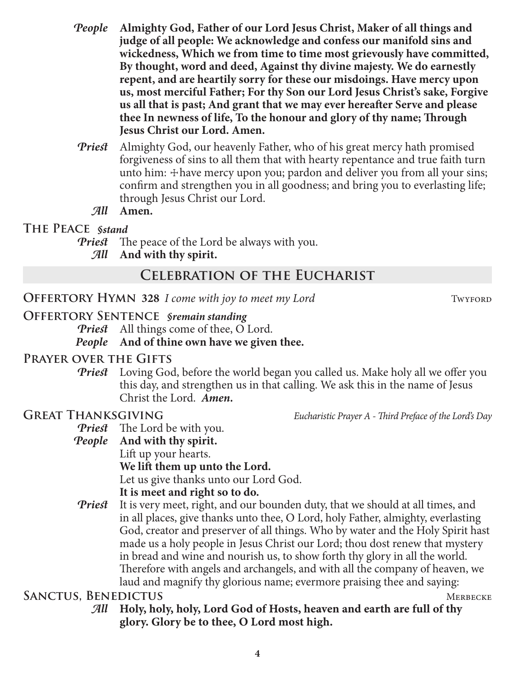- *People* **Almighty God, Father of our Lord Jesus Christ, Maker of all things and judge of all people: We acknowledge and confess our manifold sins and wickedness, Which we from time to time most grievously have committed, By thought, word and deed, Against thy divine majesty. We do earnestly repent, and are heartily sorry for these our misdoings. Have mercy upon us, most merciful Father; For thy Son our Lord Jesus Christ's sake, Forgive us all that is past; And grant that we may ever hereafter Serve and please thee In newness of life, To the honour and glory of thy name; Through Jesus Christ our Lord. Amen.**
- *Priest* Almighty God, our heavenly Father, who of his great mercy hath promised forgiveness of sins to all them that with hearty repentance and true faith turn unto him:  $\pm$  have mercy upon you; pardon and deliver you from all your sins; confirm and strengthen you in all goodness; and bring you to everlasting life; through Jesus Christ our Lord.

### *All* **Amen.**

### **The Peace** *§stand*

- *Priest* The peace of the Lord be always with you.
	- *All* **And with thy spirit.**

# **Celebration of the Eucharist**

**OFFERTORY HYMN 328** *I come with joy to meet my Lord* TWYFORD

# **Offertory Sentence** *§remain standing*

*Priest* All things come of thee, O Lord. *People* **And of thine own have we given thee.**

# **Prayer over the Gifts**

*Priest* Loving God, before the world began you called us. Make holy all we offer you this day, and strengthen us in that calling. We ask this in the name of Jesus Christ the Lord. *Amen.*

**GREAT THANKSGIVING** *Eucharistic Prayer A - Third Preface of the Lord's Day* 

*Priest* The Lord be with you.

- *People* **And with thy spirit.** Lift up your hearts. **We lift them up unto the Lord.** Let us give thanks unto our Lord God. **It is meet and right so to do.**
- *Priest* It is very meet, right, and our bounden duty, that we should at all times, and in all places, give thanks unto thee, O Lord, holy Father, almighty, everlasting God, creator and preserver of all things. Who by water and the Holy Spirit hast made us a holy people in Jesus Christ our Lord; thou dost renew that mystery in bread and wine and nourish us, to show forth thy glory in all the world. Therefore with angels and archangels, and with all the company of heaven, we laud and magnify thy glorious name; evermore praising thee and saying:

# **SANCTUS, BENEDICTUS** MERBECKE

*All* **Holy, holy, holy, Lord God of Hosts, heaven and earth are full of thy glory. Glory be to thee, O Lord most high.**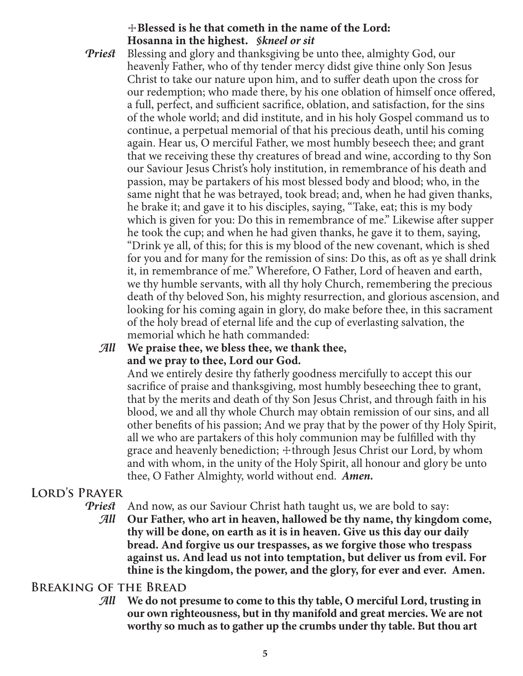# ☩**Blessed is he that cometh in the name of the Lord: Hosanna in the highest.** *§kneel or sit*

*Priest* Blessing and glory and thanksgiving be unto thee, almighty God, our heavenly Father, who of thy tender mercy didst give thine only Son Jesus Christ to take our nature upon him, and to suffer death upon the cross for our redemption; who made there, by his one oblation of himself once offered, a full, perfect, and sufficient sacrifice, oblation, and satisfaction, for the sins of the whole world; and did institute, and in his holy Gospel command us to continue, a perpetual memorial of that his precious death, until his coming again. Hear us, O merciful Father, we most humbly beseech thee; and grant that we receiving these thy creatures of bread and wine, according to thy Son our Saviour Jesus Christ's holy institution, in remembrance of his death and passion, may be partakers of his most blessed body and blood; who, in the same night that he was betrayed, took bread; and, when he had given thanks, he brake it; and gave it to his disciples, saying, "Take, eat; this is my body which is given for you: Do this in remembrance of me." Likewise after supper he took the cup; and when he had given thanks, he gave it to them, saying, "Drink ye all, of this; for this is my blood of the new covenant, which is shed for you and for many for the remission of sins: Do this, as oft as ye shall drink it, in remembrance of me." Wherefore, O Father, Lord of heaven and earth, we thy humble servants, with all thy holy Church, remembering the precious death of thy beloved Son, his mighty resurrection, and glorious ascension, and looking for his coming again in glory, do make before thee, in this sacrament of the holy bread of eternal life and the cup of everlasting salvation, the memorial which he hath commanded:

# *All* **We praise thee, we bless thee, we thank thee, and we pray to thee, Lord our God.**

 And we entirely desire thy fatherly goodness mercifully to accept this our sacrifice of praise and thanksgiving, most humbly beseeching thee to grant, that by the merits and death of thy Son Jesus Christ, and through faith in his blood, we and all thy whole Church may obtain remission of our sins, and all other benefits of his passion; And we pray that by the power of thy Holy Spirit, all we who are partakers of this holy communion may be fulfilled with thy grace and heavenly benediction;  $\pm$ through Jesus Christ our Lord, by whom and with whom, in the unity of the Holy Spirit, all honour and glory be unto thee, O Father Almighty, world without end. *Amen.*

# **Lord's Prayer**

*Priest* And now, as our Saviour Christ hath taught us, we are bold to say:

*All* **Our Father, who art in heaven, hallowed be thy name, thy kingdom come, thy will be done, on earth as it is in heaven. Give us this day our daily bread. And forgive us our trespasses, as we forgive those who trespass against us. And lead us not into temptation, but deliver us from evil. For thine is the kingdom, the power, and the glory, for ever and ever. Amen.**

# **Breaking of the Bread**

*All* **We do not presume to come to this thy table, O merciful Lord, trusting in our own righteousness, but in thy manifold and great mercies. We are not worthy so much as to gather up the crumbs under thy table. But thou art**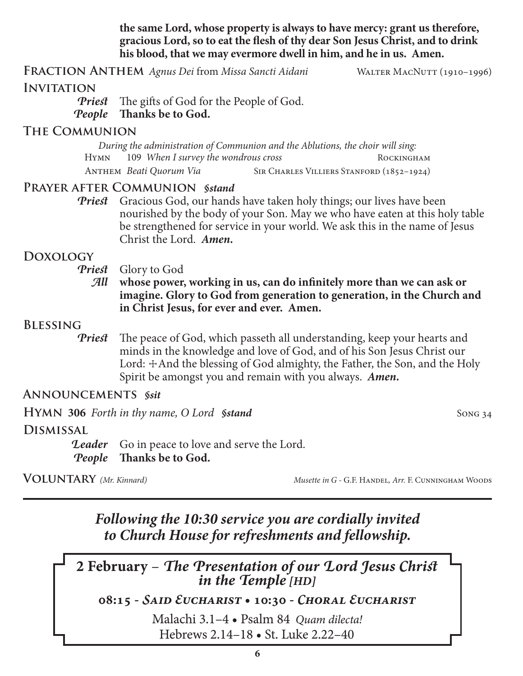**the same Lord, whose property is always to have mercy: grant us therefore, gracious Lord, so to eat the flesh of thy dear Son Jesus Christ, and to drink his blood, that we may evermore dwell in him, and he in us. Amen.**

**Fraction Anthem** *Agnus Dei* from *Missa Sancti Aidani* Walter MacNutt (1910–1996)

# **Invitation**

*Priest* The gifts of God for the People of God. *People* **Thanks be to God.**

### **The Communion**

*During the administration of Communion and the Ablutions, the choir will sing:* Hymn 109 *When I survey the wondrous cross* Rockingham ANTHEM *Beati Quorum Via* SIR CHARLES VILLIERS STANFORD (1852-1924)

# **Prayer after Communion** *§stand*

*Priest* Gracious God, our hands have taken holy things; our lives have been nourished by the body of your Son. May we who have eaten at this holy table be strengthened for service in your world. We ask this in the name of Jesus Christ the Lord. *Amen.*

# **Doxology**

*Priest* Glory to God

*All* **whose power, working in us, can do infinitely more than we can ask or imagine. Glory to God from generation to generation, in the Church and in Christ Jesus, for ever and ever. Amen.**

# **Blessing**

*Priest* The peace of God, which passeth all understanding, keep your hearts and minds in the knowledge and love of God, and of his Son Jesus Christ our Lord:  $\pm$ And the blessing of God almighty, the Father, the Son, and the Holy Spirit be amongst you and remain with you always. *Amen.*

# **Announcements** *§sit*

**HYMN** 306 *Forth in thy name, O Lord §stand* Song 34

# **Dismissal**

**Leader** Go in peace to love and serve the Lord. *People* **Thanks be to God.**

**Voluntary** *(Mr. Kinnard) Musette in G -* G.F. Handel*, Arr.* F. Cunningham Woods

*Following the 10:30 service you are cordially invited to Church House for refreshments and fellowship.*

**2 February** – *The Presentation of our Lord Jesus Christ in the Temple [HD]*

**08:15 -** *Said Eucharist* **• 10:30 -** *Choral Eucharist*

Malachi 3.1–4 • Psalm 84 *Quam dilecta!* Hebrews 2.14–18 • St. Luke 2.22–40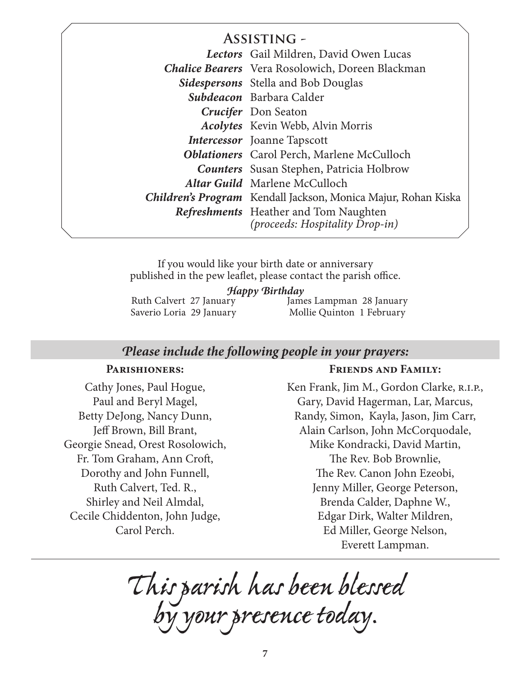# **Assisting -**

| Lectors Gail Mildren, David Owen Lucas                                                 |
|----------------------------------------------------------------------------------------|
| <b>Chalice Bearers</b> Vera Rosolowich, Doreen Blackman                                |
| <b>Sidespersons</b> Stella and Bob Douglas                                             |
| Subdeacon Barbara Calder                                                               |
| <b>Crucifer</b> Don Seaton                                                             |
| <b>Acolytes</b> Kevin Webb, Alvin Morris                                               |
| <b>Intercessor</b> Joanne Tapscott                                                     |
| <b>Oblationers</b> Carol Perch, Marlene McCulloch                                      |
| <b>Counters</b> Susan Stephen, Patricia Holbrow                                        |
| <b>Altar Guild</b> Marlene McCulloch                                                   |
| Children's Program Kendall Jackson, Monica Majur, Rohan Kiska                          |
| <b>Refreshments</b> Heather and Tom Naughten<br><i>(proceeds: Hospitality Drop-in)</i> |

If you would like your birth date or anniversary published in the pew leaflet, please contact the parish office.

*Happy Birthday*

Ruth Calvert 27 January Saverio Loria 29 January James Lampman 28 January Mollie Quinton 1 February

### *Please include the following people in your prayers:*

### **Parishioners:**

Cathy Jones, Paul Hogue, Paul and Beryl Magel, Betty DeJong, Nancy Dunn, Jeff Brown, Bill Brant, Georgie Snead, Orest Rosolowich, Fr. Tom Graham, Ann Croft, Dorothy and John Funnell, Ruth Calvert, Ted. R., Shirley and Neil Almdal, Cecile Chiddenton, John Judge, Carol Perch.

### **Friends and Family:**

Ken Frank, Jim M., Gordon Clarke, R.I.P., Gary, David Hagerman, Lar, Marcus, Randy, Simon, Kayla, Jason, Jim Carr, Alain Carlson, John McCorquodale, Mike Kondracki, David Martin, The Rev. Bob Brownlie, The Rev. Canon John Ezeobi, Jenny Miller, George Peterson, Brenda Calder, Daphne W., Edgar Dirk, Walter Mildren, Ed Miller, George Nelson, Everett Lampman.

*This parish has been blessed by your presence today.*